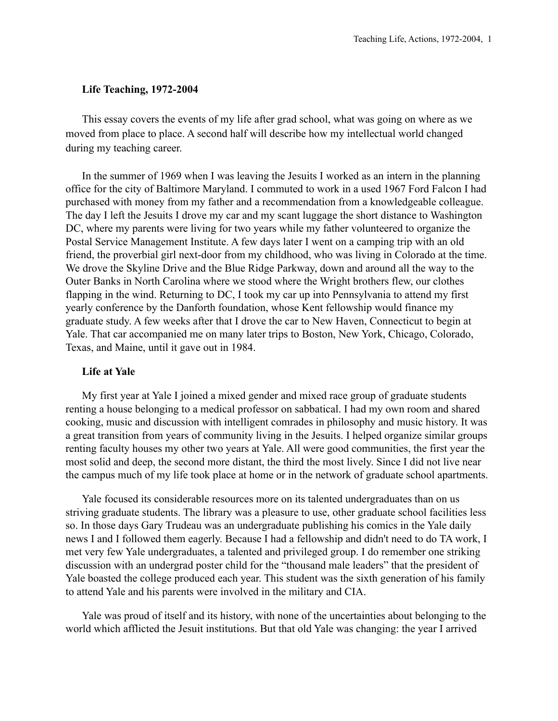### **Life Teaching, 1972-2004**

This essay covers the events of my life after grad school, what was going on where as we moved from place to place. A second half will describe how my intellectual world changed during my teaching career.

In the summer of 1969 when I was leaving the Jesuits I worked as an intern in the planning office for the city of Baltimore Maryland. I commuted to work in a used 1967 Ford Falcon I had purchased with money from my father and a recommendation from a knowledgeable colleague. The day I left the Jesuits I drove my car and my scant luggage the short distance to Washington DC, where my parents were living for two years while my father volunteered to organize the Postal Service Management Institute. A few days later I went on a camping trip with an old friend, the proverbial girl next-door from my childhood, who was living in Colorado at the time. We drove the Skyline Drive and the Blue Ridge Parkway, down and around all the way to the Outer Banks in North Carolina where we stood where the Wright brothers flew, our clothes flapping in the wind. Returning to DC, I took my car up into Pennsylvania to attend my first yearly conference by the Danforth foundation, whose Kent fellowship would finance my graduate study. A few weeks after that I drove the car to New Haven, Connecticut to begin at Yale. That car accompanied me on many later trips to Boston, New York, Chicago, Colorado, Texas, and Maine, until it gave out in 1984.

#### **Life at Yale**

My first year at Yale I joined a mixed gender and mixed race group of graduate students renting a house belonging to a medical professor on sabbatical. I had my own room and shared cooking, music and discussion with intelligent comrades in philosophy and music history. It was a great transition from years of community living in the Jesuits. I helped organize similar groups renting faculty houses my other two years at Yale. All were good communities, the first year the most solid and deep, the second more distant, the third the most lively. Since I did not live near the campus much of my life took place at home or in the network of graduate school apartments.

Yale focused its considerable resources more on its talented undergraduates than on us striving graduate students. The library was a pleasure to use, other graduate school facilities less so. In those days Gary Trudeau was an undergraduate publishing his comics in the Yale daily news I and I followed them eagerly. Because I had a fellowship and didn't need to do TA work, I met very few Yale undergraduates, a talented and privileged group. I do remember one striking discussion with an undergrad poster child for the "thousand male leaders" that the president of Yale boasted the college produced each year. This student was the sixth generation of his family to attend Yale and his parents were involved in the military and CIA.

Yale was proud of itself and its history, with none of the uncertainties about belonging to the world which afflicted the Jesuit institutions. But that old Yale was changing: the year I arrived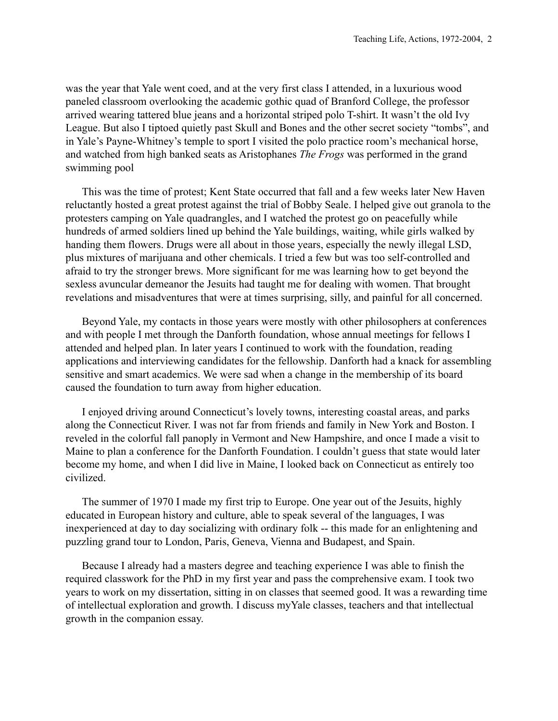was the year that Yale went coed, and at the very first class I attended, in a luxurious wood paneled classroom overlooking the academic gothic quad of Branford College, the professor arrived wearing tattered blue jeans and a horizontal striped polo T-shirt. It wasn't the old Ivy League. But also I tiptoed quietly past Skull and Bones and the other secret society "tombs", and in Yale's Payne-Whitney's temple to sport I visited the polo practice room's mechanical horse, and watched from high banked seats as Aristophanes *The Frogs* was performed in the grand swimming pool

This was the time of protest; Kent State occurred that fall and a few weeks later New Haven reluctantly hosted a great protest against the trial of Bobby Seale. I helped give out granola to the protesters camping on Yale quadrangles, and I watched the protest go on peacefully while hundreds of armed soldiers lined up behind the Yale buildings, waiting, while girls walked by handing them flowers. Drugs were all about in those years, especially the newly illegal LSD, plus mixtures of marijuana and other chemicals. I tried a few but was too self-controlled and afraid to try the stronger brews. More significant for me was learning how to get beyond the sexless avuncular demeanor the Jesuits had taught me for dealing with women. That brought revelations and misadventures that were at times surprising, silly, and painful for all concerned.

Beyond Yale, my contacts in those years were mostly with other philosophers at conferences and with people I met through the Danforth foundation, whose annual meetings for fellows I attended and helped plan. In later years I continued to work with the foundation, reading applications and interviewing candidates for the fellowship. Danforth had a knack for assembling sensitive and smart academics. We were sad when a change in the membership of its board caused the foundation to turn away from higher education.

I enjoyed driving around Connecticut's lovely towns, interesting coastal areas, and parks along the Connecticut River. I was not far from friends and family in New York and Boston. I reveled in the colorful fall panoply in Vermont and New Hampshire, and once I made a visit to Maine to plan a conference for the Danforth Foundation. I couldn't guess that state would later become my home, and when I did live in Maine, I looked back on Connecticut as entirely too civilized.

The summer of 1970 I made my first trip to Europe. One year out of the Jesuits, highly educated in European history and culture, able to speak several of the languages, I was inexperienced at day to day socializing with ordinary folk -- this made for an enlightening and puzzling grand tour to London, Paris, Geneva, Vienna and Budapest, and Spain.

Because I already had a masters degree and teaching experience I was able to finish the required classwork for the PhD in my first year and pass the comprehensive exam. I took two years to work on my dissertation, sitting in on classes that seemed good. It was a rewarding time of intellectual exploration and growth. I discuss myYale classes, teachers and that intellectual growth in the companion essay.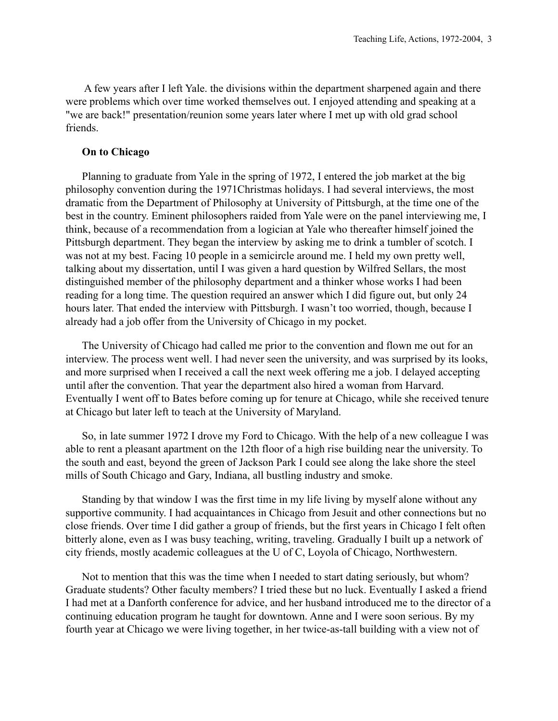A few years after I left Yale. the divisions within the department sharpened again and there were problems which over time worked themselves out. I enjoyed attending and speaking at a "we are back!" presentation/reunion some years later where I met up with old grad school friends.

# **On to Chicago**

Planning to graduate from Yale in the spring of 1972, I entered the job market at the big philosophy convention during the 1971Christmas holidays. I had several interviews, the most dramatic from the Department of Philosophy at University of Pittsburgh, at the time one of the best in the country. Eminent philosophers raided from Yale were on the panel interviewing me, I think, because of a recommendation from a logician at Yale who thereafter himself joined the Pittsburgh department. They began the interview by asking me to drink a tumbler of scotch. I was not at my best. Facing 10 people in a semicircle around me. I held my own pretty well, talking about my dissertation, until I was given a hard question by Wilfred Sellars, the most distinguished member of the philosophy department and a thinker whose works I had been reading for a long time. The question required an answer which I did figure out, but only 24 hours later. That ended the interview with Pittsburgh. I wasn't too worried, though, because I already had a job offer from the University of Chicago in my pocket.

The University of Chicago had called me prior to the convention and flown me out for an interview. The process went well. I had never seen the university, and was surprised by its looks, and more surprised when I received a call the next week offering me a job. I delayed accepting until after the convention. That year the department also hired a woman from Harvard. Eventually I went off to Bates before coming up for tenure at Chicago, while she received tenure at Chicago but later left to teach at the University of Maryland.

So, in late summer 1972 I drove my Ford to Chicago. With the help of a new colleague I was able to rent a pleasant apartment on the 12th floor of a high rise building near the university. To the south and east, beyond the green of Jackson Park I could see along the lake shore the steel mills of South Chicago and Gary, Indiana, all bustling industry and smoke.

Standing by that window I was the first time in my life living by myself alone without any supportive community. I had acquaintances in Chicago from Jesuit and other connections but no close friends. Over time I did gather a group of friends, but the first years in Chicago I felt often bitterly alone, even as I was busy teaching, writing, traveling. Gradually I built up a network of city friends, mostly academic colleagues at the U of C, Loyola of Chicago, Northwestern.

Not to mention that this was the time when I needed to start dating seriously, but whom? Graduate students? Other faculty members? I tried these but no luck. Eventually I asked a friend I had met at a Danforth conference for advice, and her husband introduced me to the director of a continuing education program he taught for downtown. Anne and I were soon serious. By my fourth year at Chicago we were living together, in her twice-as-tall building with a view not of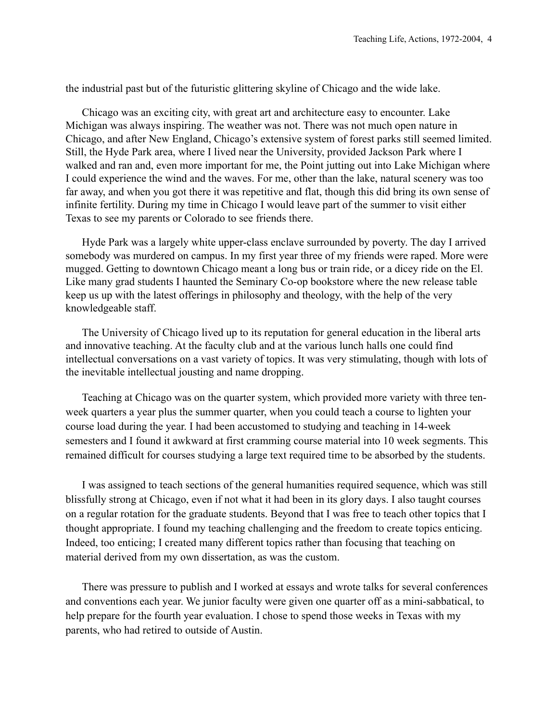the industrial past but of the futuristic glittering skyline of Chicago and the wide lake.

Chicago was an exciting city, with great art and architecture easy to encounter. Lake Michigan was always inspiring. The weather was not. There was not much open nature in Chicago, and after New England, Chicago's extensive system of forest parks still seemed limited. Still, the Hyde Park area, where I lived near the University, provided Jackson Park where I walked and ran and, even more important for me, the Point jutting out into Lake Michigan where I could experience the wind and the waves. For me, other than the lake, natural scenery was too far away, and when you got there it was repetitive and flat, though this did bring its own sense of infinite fertility. During my time in Chicago I would leave part of the summer to visit either Texas to see my parents or Colorado to see friends there.

Hyde Park was a largely white upper-class enclave surrounded by poverty. The day I arrived somebody was murdered on campus. In my first year three of my friends were raped. More were mugged. Getting to downtown Chicago meant a long bus or train ride, or a dicey ride on the El. Like many grad students I haunted the Seminary Co-op bookstore where the new release table keep us up with the latest offerings in philosophy and theology, with the help of the very knowledgeable staff.

The University of Chicago lived up to its reputation for general education in the liberal arts and innovative teaching. At the faculty club and at the various lunch halls one could find intellectual conversations on a vast variety of topics. It was very stimulating, though with lots of the inevitable intellectual jousting and name dropping.

Teaching at Chicago was on the quarter system, which provided more variety with three tenweek quarters a year plus the summer quarter, when you could teach a course to lighten your course load during the year. I had been accustomed to studying and teaching in 14-week semesters and I found it awkward at first cramming course material into 10 week segments. This remained difficult for courses studying a large text required time to be absorbed by the students.

I was assigned to teach sections of the general humanities required sequence, which was still blissfully strong at Chicago, even if not what it had been in its glory days. I also taught courses on a regular rotation for the graduate students. Beyond that I was free to teach other topics that I thought appropriate. I found my teaching challenging and the freedom to create topics enticing. Indeed, too enticing; I created many different topics rather than focusing that teaching on material derived from my own dissertation, as was the custom.

There was pressure to publish and I worked at essays and wrote talks for several conferences and conventions each year. We junior faculty were given one quarter off as a mini-sabbatical, to help prepare for the fourth year evaluation. I chose to spend those weeks in Texas with my parents, who had retired to outside of Austin.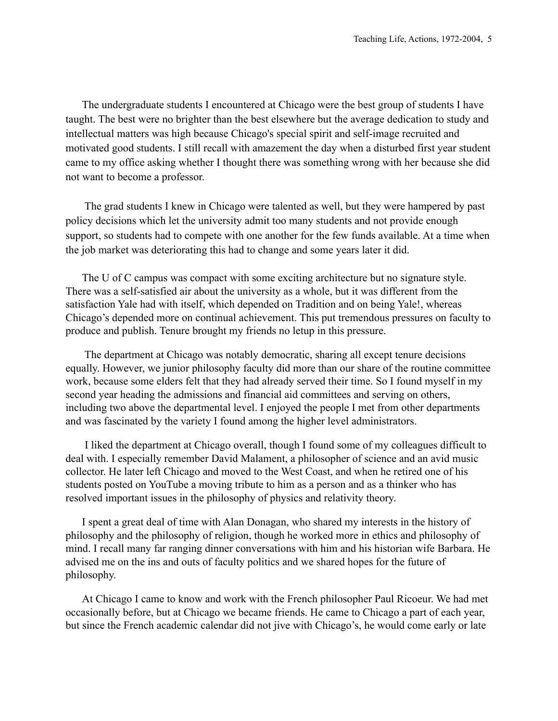The undergraduate students I encountered at Chicago were the best group of students I have taught. The best were no brighter than the best elsewhere but the average dedication to study and intellectual matters was high because Chicago's special spirit and self-image recruited and motivated good students. I still recall with amazement the day when a disturbed first year student came to my office asking whether I thought there was something wrong with her because she did not want to become a professor.

 The grad students I knew in Chicago were talented as well, but they were hampered by past policy decisions which let the university admit too many students and not provide enough support, so students had to compete with one another for the few funds available. At a time when the job market was deteriorating this had to change and some years later it did.

The U of C campus was compact with some exciting architecture but no signature style. There was a self-satisfied air about the university as a whole, but it was different from the satisfaction Yale had with itself, which depended on Tradition and on being Yale!, whereas Chicago's depended more on continual achievement. This put tremendous pressures on faculty to produce and publish. Tenure brought my friends no letup in this pressure.

 The department at Chicago was notably democratic, sharing all except tenure decisions equally. However, we junior philosophy faculty did more than our share of the routine committee work, because some elders felt that they had already served their time. So I found myself in my second year heading the admissions and financial aid committees and serving on others, including two above the departmental level. I enjoyed the people I met from other departments and was fascinated by the variety I found among the higher level administrators.

 I liked the department at Chicago overall, though I found some of my colleagues difficult to deal with. I especially remember David Malament, a philosopher of science and an avid music collector. He later left Chicago and moved to the West Coast, and when he retired one of his students posted on YouTube a moving tribute to him as a person and as a thinker who has resolved important issues in the philosophy of physics and relativity theory.

I spent a great deal of time with Alan Donagan, who shared my interests in the history of philosophy and the philosophy of religion, though he worked more in ethics and philosophy of mind. I recall many far ranging dinner conversations with him and his historian wife Barbara. He advised me on the ins and outs of faculty politics and we shared hopes for the future of philosophy.

At Chicago I came to know and work with the French philosopher Paul Ricoeur. We had met occasionally before, but at Chicago we became friends. He came to Chicago a part of each year, but since the French academic calendar did not jive with Chicago's, he would come early or late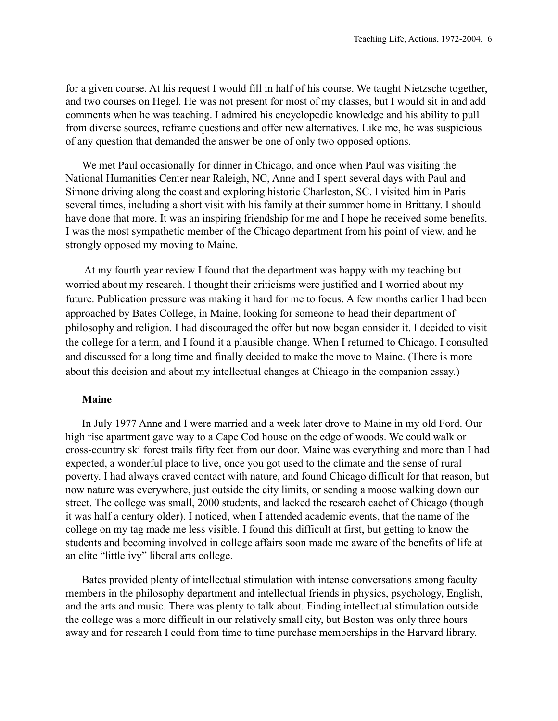for a given course. At his request I would fill in half of his course. We taught Nietzsche together, and two courses on Hegel. He was not present for most of my classes, but I would sit in and add comments when he was teaching. I admired his encyclopedic knowledge and his ability to pull from diverse sources, reframe questions and offer new alternatives. Like me, he was suspicious of any question that demanded the answer be one of only two opposed options.

We met Paul occasionally for dinner in Chicago, and once when Paul was visiting the National Humanities Center near Raleigh, NC, Anne and I spent several days with Paul and Simone driving along the coast and exploring historic Charleston, SC. I visited him in Paris several times, including a short visit with his family at their summer home in Brittany. I should have done that more. It was an inspiring friendship for me and I hope he received some benefits. I was the most sympathetic member of the Chicago department from his point of view, and he strongly opposed my moving to Maine.

 At my fourth year review I found that the department was happy with my teaching but worried about my research. I thought their criticisms were justified and I worried about my future. Publication pressure was making it hard for me to focus. A few months earlier I had been approached by Bates College, in Maine, looking for someone to head their department of philosophy and religion. I had discouraged the offer but now began consider it. I decided to visit the college for a term, and I found it a plausible change. When I returned to Chicago. I consulted and discussed for a long time and finally decided to make the move to Maine. (There is more about this decision and about my intellectual changes at Chicago in the companion essay.)

#### **Maine**

In July 1977 Anne and I were married and a week later drove to Maine in my old Ford. Our high rise apartment gave way to a Cape Cod house on the edge of woods. We could walk or cross-country ski forest trails fifty feet from our door. Maine was everything and more than I had expected, a wonderful place to live, once you got used to the climate and the sense of rural poverty. I had always craved contact with nature, and found Chicago difficult for that reason, but now nature was everywhere, just outside the city limits, or sending a moose walking down our street. The college was small, 2000 students, and lacked the research cachet of Chicago (though it was half a century older). I noticed, when I attended academic events, that the name of the college on my tag made me less visible. I found this difficult at first, but getting to know the students and becoming involved in college affairs soon made me aware of the benefits of life at an elite "little ivy" liberal arts college.

Bates provided plenty of intellectual stimulation with intense conversations among faculty members in the philosophy department and intellectual friends in physics, psychology, English, and the arts and music. There was plenty to talk about. Finding intellectual stimulation outside the college was a more difficult in our relatively small city, but Boston was only three hours away and for research I could from time to time purchase memberships in the Harvard library.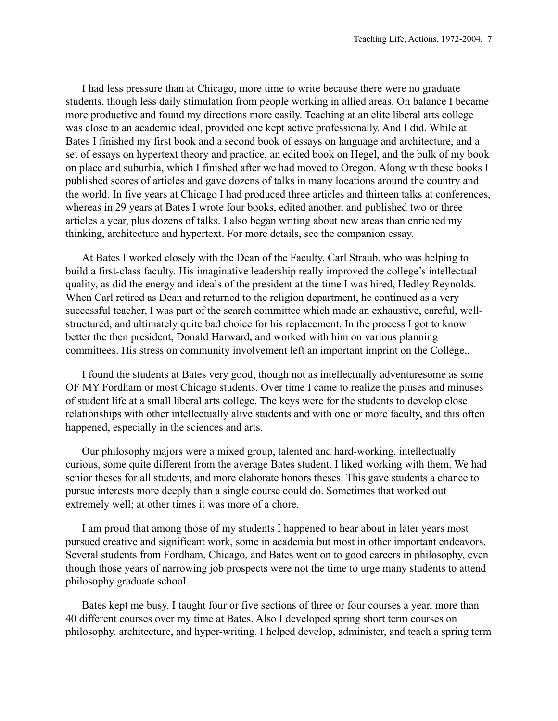I had less pressure than at Chicago, more time to write because there were no graduate students, though less daily stimulation from people working in allied areas. On balance I became more productive and found my directions more easily. Teaching at an elite liberal arts college was close to an academic ideal, provided one kept active professionally. And I did. While at Bates I finished my first book and a second book of essays on language and architecture, and a set of essays on hypertext theory and practice, an edited book on Hegel, and the bulk of my book on place and suburbia, which I finished after we had moved to Oregon. Along with these books I published scores of articles and gave dozens of talks in many locations around the country and the world. In five years at Chicago I had produced three articles and thirteen talks at conferences, whereas in 29 years at Bates I wrote four books, edited another, and published two or three articles a year, plus dozens of talks. I also began writing about new areas than enriched my thinking, architecture and hypertext. For more details, see the companion essay.

At Bates I worked closely with the Dean of the Faculty, Carl Straub, who was helping to build a first-class faculty. His imaginative leadership really improved the college's intellectual quality, as did the energy and ideals of the president at the time I was hired, Hedley Reynolds. When Carl retired as Dean and returned to the religion department, he continued as a very successful teacher, I was part of the search committee which made an exhaustive, careful, wellstructured, and ultimately quite bad choice for his replacement. In the process I got to know better the then president, Donald Harward, and worked with him on various planning committees. His stress on community involvement left an important imprint on the College,.

I found the students at Bates very good, though not as intellectually adventuresome as some OF MY Fordham or most Chicago students. Over time I came to realize the pluses and minuses of student life at a small liberal arts college. The keys were for the students to develop close relationships with other intellectually alive students and with one or more faculty, and this often happened, especially in the sciences and arts.

Our philosophy majors were a mixed group, talented and hard-working, intellectually curious, some quite different from the average Bates student. I liked working with them. We had senior theses for all students, and more elaborate honors theses. This gave students a chance to pursue interests more deeply than a single course could do. Sometimes that worked out extremely well; at other times it was more of a chore.

I am proud that among those of my students I happened to hear about in later years most pursued creative and significant work, some in academia but most in other important endeavors. Several students from Fordham, Chicago, and Bates went on to good careers in philosophy, even though those years of narrowing job prospects were not the time to urge many students to attend philosophy graduate school.

Bates kept me busy. I taught four or five sections of three or four courses a year, more than 40 different courses over my time at Bates. Also I developed spring short term courses on philosophy, architecture, and hyper-writing. I helped develop, administer, and teach a spring term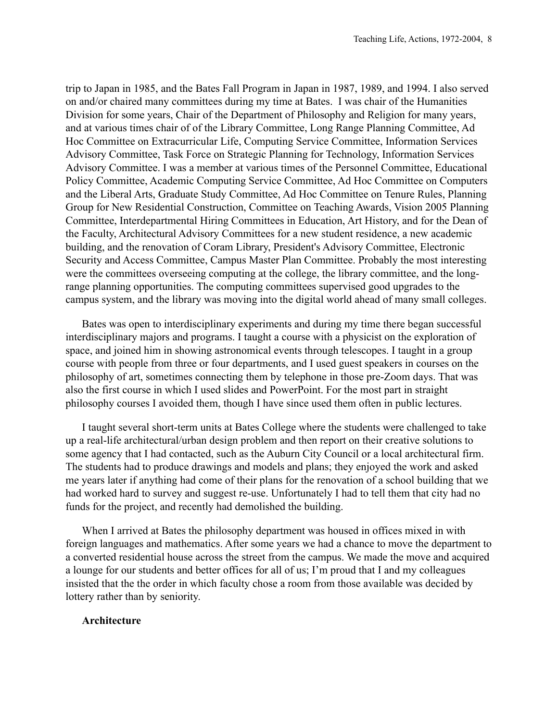trip to Japan in 1985, and the Bates Fall Program in Japan in 1987, 1989, and 1994. I also served on and/or chaired many committees during my time at Bates. I was chair of the Humanities Division for some years, Chair of the Department of Philosophy and Religion for many years, and at various times chair of of the Library Committee, Long Range Planning Committee, Ad Hoc Committee on Extracurricular Life, Computing Service Committee, Information Services Advisory Committee, Task Force on Strategic Planning for Technology, Information Services Advisory Committee. I was a member at various times of the Personnel Committee, Educational Policy Committee, Academic Computing Service Committee, Ad Hoc Committee on Computers and the Liberal Arts, Graduate Study Committee, Ad Hoc Committee on Tenure Rules, Planning Group for New Residential Construction, Committee on Teaching Awards, Vision 2005 Planning Committee, Interdepartmental Hiring Committees in Education, Art History, and for the Dean of the Faculty, Architectural Advisory Committees for a new student residence, a new academic building, and the renovation of Coram Library, President's Advisory Committee, Electronic Security and Access Committee, Campus Master Plan Committee. Probably the most interesting were the committees overseeing computing at the college, the library committee, and the longrange planning opportunities. The computing committees supervised good upgrades to the campus system, and the library was moving into the digital world ahead of many small colleges.

Bates was open to interdisciplinary experiments and during my time there began successful interdisciplinary majors and programs. I taught a course with a physicist on the exploration of space, and joined him in showing astronomical events through telescopes. I taught in a group course with people from three or four departments, and I used guest speakers in courses on the philosophy of art, sometimes connecting them by telephone in those pre-Zoom days. That was also the first course in which I used slides and PowerPoint. For the most part in straight philosophy courses I avoided them, though I have since used them often in public lectures.

I taught several short-term units at Bates College where the students were challenged to take up a real-life architectural/urban design problem and then report on their creative solutions to some agency that I had contacted, such as the Auburn City Council or a local architectural firm. The students had to produce drawings and models and plans; they enjoyed the work and asked me years later if anything had come of their plans for the renovation of a school building that we had worked hard to survey and suggest re-use. Unfortunately I had to tell them that city had no funds for the project, and recently had demolished the building.

When I arrived at Bates the philosophy department was housed in offices mixed in with foreign languages and mathematics. After some years we had a chance to move the department to a converted residential house across the street from the campus. We made the move and acquired a lounge for our students and better offices for all of us; I'm proud that I and my colleagues insisted that the the order in which faculty chose a room from those available was decided by lottery rather than by seniority.

#### **Architecture**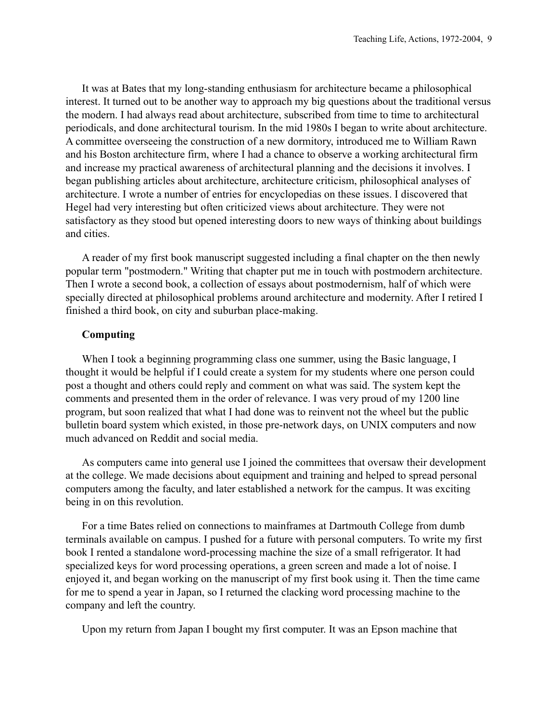It was at Bates that my long-standing enthusiasm for architecture became a philosophical interest. It turned out to be another way to approach my big questions about the traditional versus the modern. I had always read about architecture, subscribed from time to time to architectural periodicals, and done architectural tourism. In the mid 1980s I began to write about architecture. A committee overseeing the construction of a new dormitory, introduced me to William Rawn and his Boston architecture firm, where I had a chance to observe a working architectural firm and increase my practical awareness of architectural planning and the decisions it involves. I began publishing articles about architecture, architecture criticism, philosophical analyses of architecture. I wrote a number of entries for encyclopedias on these issues. I discovered that Hegel had very interesting but often criticized views about architecture. They were not satisfactory as they stood but opened interesting doors to new ways of thinking about buildings and cities.

A reader of my first book manuscript suggested including a final chapter on the then newly popular term "postmodern." Writing that chapter put me in touch with postmodern architecture. Then I wrote a second book, a collection of essays about postmodernism, half of which were specially directed at philosophical problems around architecture and modernity. After I retired I finished a third book, on city and suburban place-making.

# **Computing**

When I took a beginning programming class one summer, using the Basic language, I thought it would be helpful if I could create a system for my students where one person could post a thought and others could reply and comment on what was said. The system kept the comments and presented them in the order of relevance. I was very proud of my 1200 line program, but soon realized that what I had done was to reinvent not the wheel but the public bulletin board system which existed, in those pre-network days, on UNIX computers and now much advanced on Reddit and social media.

As computers came into general use I joined the committees that oversaw their development at the college. We made decisions about equipment and training and helped to spread personal computers among the faculty, and later established a network for the campus. It was exciting being in on this revolution.

For a time Bates relied on connections to mainframes at Dartmouth College from dumb terminals available on campus. I pushed for a future with personal computers. To write my first book I rented a standalone word-processing machine the size of a small refrigerator. It had specialized keys for word processing operations, a green screen and made a lot of noise. I enjoyed it, and began working on the manuscript of my first book using it. Then the time came for me to spend a year in Japan, so I returned the clacking word processing machine to the company and left the country.

Upon my return from Japan I bought my first computer. It was an Epson machine that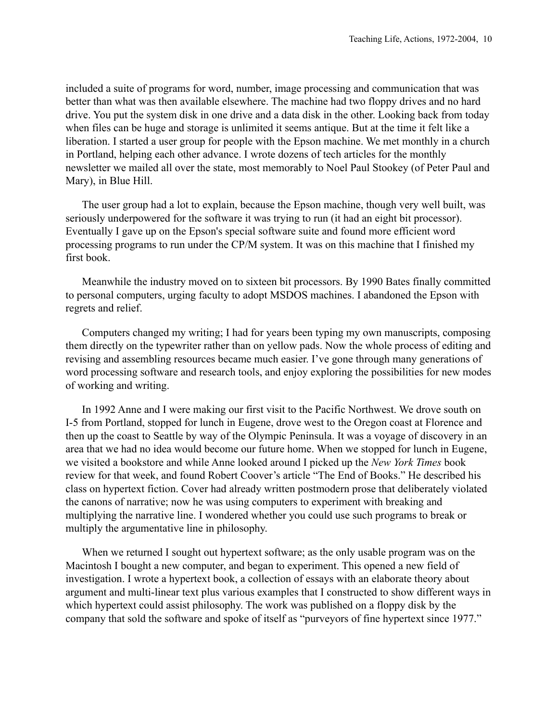included a suite of programs for word, number, image processing and communication that was better than what was then available elsewhere. The machine had two floppy drives and no hard drive. You put the system disk in one drive and a data disk in the other. Looking back from today when files can be huge and storage is unlimited it seems antique. But at the time it felt like a liberation. I started a user group for people with the Epson machine. We met monthly in a church in Portland, helping each other advance. I wrote dozens of tech articles for the monthly newsletter we mailed all over the state, most memorably to Noel Paul Stookey (of Peter Paul and Mary), in Blue Hill.

The user group had a lot to explain, because the Epson machine, though very well built, was seriously underpowered for the software it was trying to run (it had an eight bit processor). Eventually I gave up on the Epson's special software suite and found more efficient word processing programs to run under the CP/M system. It was on this machine that I finished my first book.

Meanwhile the industry moved on to sixteen bit processors. By 1990 Bates finally committed to personal computers, urging faculty to adopt MSDOS machines. I abandoned the Epson with regrets and relief.

Computers changed my writing; I had for years been typing my own manuscripts, composing them directly on the typewriter rather than on yellow pads. Now the whole process of editing and revising and assembling resources became much easier. I've gone through many generations of word processing software and research tools, and enjoy exploring the possibilities for new modes of working and writing.

In 1992 Anne and I were making our first visit to the Pacific Northwest. We drove south on I-5 from Portland, stopped for lunch in Eugene, drove west to the Oregon coast at Florence and then up the coast to Seattle by way of the Olympic Peninsula. It was a voyage of discovery in an area that we had no idea would become our future home. When we stopped for lunch in Eugene, we visited a bookstore and while Anne looked around I picked up the *New York Times* book review for that week, and found Robert Coover's article "The End of Books." He described his class on hypertext fiction. Cover had already written postmodern prose that deliberately violated the canons of narrative; now he was using computers to experiment with breaking and multiplying the narrative line. I wondered whether you could use such programs to break or multiply the argumentative line in philosophy.

When we returned I sought out hypertext software; as the only usable program was on the Macintosh I bought a new computer, and began to experiment. This opened a new field of investigation. I wrote a hypertext book, a collection of essays with an elaborate theory about argument and multi-linear text plus various examples that I constructed to show different ways in which hypertext could assist philosophy. The work was published on a floppy disk by the company that sold the software and spoke of itself as "purveyors of fine hypertext since 1977."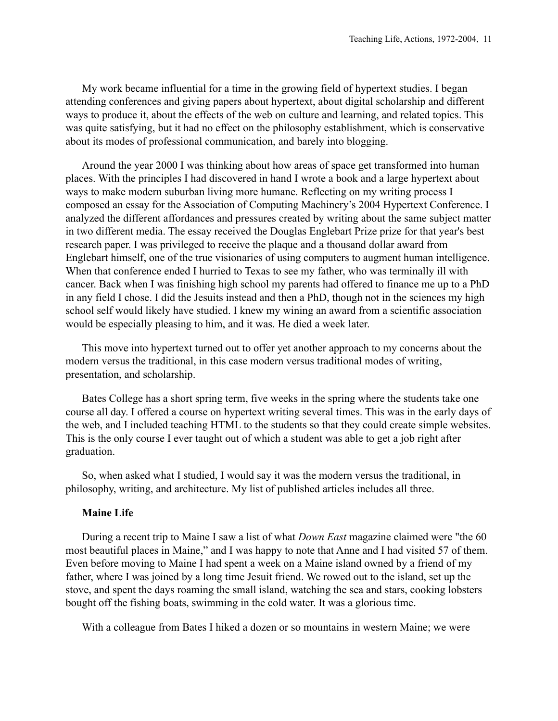My work became influential for a time in the growing field of hypertext studies. I began attending conferences and giving papers about hypertext, about digital scholarship and different ways to produce it, about the effects of the web on culture and learning, and related topics. This was quite satisfying, but it had no effect on the philosophy establishment, which is conservative about its modes of professional communication, and barely into blogging.

Around the year 2000 I was thinking about how areas of space get transformed into human places. With the principles I had discovered in hand I wrote a book and a large hypertext about ways to make modern suburban living more humane. Reflecting on my writing process I composed an essay for the Association of Computing Machinery's 2004 Hypertext Conference. I analyzed the different affordances and pressures created by writing about the same subject matter in two different media. The essay received the Douglas Englebart Prize prize for that year's best research paper. I was privileged to receive the plaque and a thousand dollar award from Englebart himself, one of the true visionaries of using computers to augment human intelligence. When that conference ended I hurried to Texas to see my father, who was terminally ill with cancer. Back when I was finishing high school my parents had offered to finance me up to a PhD in any field I chose. I did the Jesuits instead and then a PhD, though not in the sciences my high school self would likely have studied. I knew my wining an award from a scientific association would be especially pleasing to him, and it was. He died a week later.

This move into hypertext turned out to offer yet another approach to my concerns about the modern versus the traditional, in this case modern versus traditional modes of writing, presentation, and scholarship.

Bates College has a short spring term, five weeks in the spring where the students take one course all day. I offered a course on hypertext writing several times. This was in the early days of the web, and I included teaching HTML to the students so that they could create simple websites. This is the only course I ever taught out of which a student was able to get a job right after graduation.

So, when asked what I studied, I would say it was the modern versus the traditional, in philosophy, writing, and architecture. My list of published articles includes all three.

### **Maine Life**

During a recent trip to Maine I saw a list of what *Down East* magazine claimed were "the 60 most beautiful places in Maine," and I was happy to note that Anne and I had visited 57 of them. Even before moving to Maine I had spent a week on a Maine island owned by a friend of my father, where I was joined by a long time Jesuit friend. We rowed out to the island, set up the stove, and spent the days roaming the small island, watching the sea and stars, cooking lobsters bought off the fishing boats, swimming in the cold water. It was a glorious time.

With a colleague from Bates I hiked a dozen or so mountains in western Maine; we were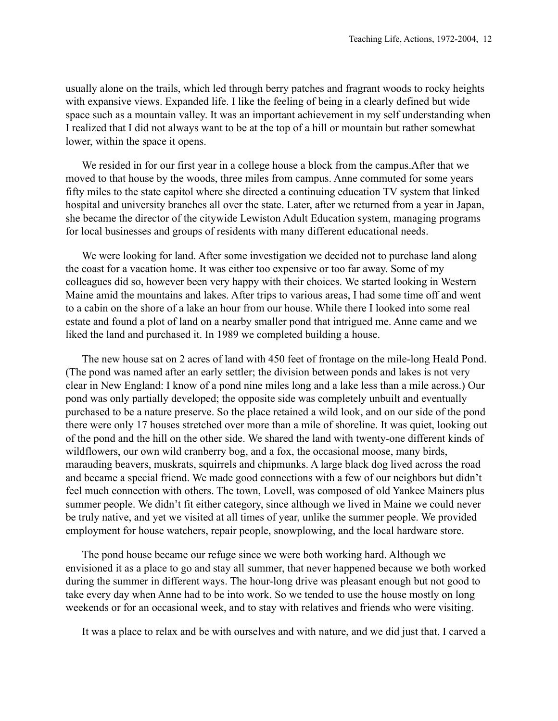usually alone on the trails, which led through berry patches and fragrant woods to rocky heights with expansive views. Expanded life. I like the feeling of being in a clearly defined but wide space such as a mountain valley. It was an important achievement in my self understanding when I realized that I did not always want to be at the top of a hill or mountain but rather somewhat lower, within the space it opens.

We resided in for our first year in a college house a block from the campus.After that we moved to that house by the woods, three miles from campus. Anne commuted for some years fifty miles to the state capitol where she directed a continuing education TV system that linked hospital and university branches all over the state. Later, after we returned from a year in Japan, she became the director of the citywide Lewiston Adult Education system, managing programs for local businesses and groups of residents with many different educational needs.

We were looking for land. After some investigation we decided not to purchase land along the coast for a vacation home. It was either too expensive or too far away. Some of my colleagues did so, however been very happy with their choices. We started looking in Western Maine amid the mountains and lakes. After trips to various areas, I had some time off and went to a cabin on the shore of a lake an hour from our house. While there I looked into some real estate and found a plot of land on a nearby smaller pond that intrigued me. Anne came and we liked the land and purchased it. In 1989 we completed building a house.

The new house sat on 2 acres of land with 450 feet of frontage on the mile-long Heald Pond. (The pond was named after an early settler; the division between ponds and lakes is not very clear in New England: I know of a pond nine miles long and a lake less than a mile across.) Our pond was only partially developed; the opposite side was completely unbuilt and eventually purchased to be a nature preserve. So the place retained a wild look, and on our side of the pond there were only 17 houses stretched over more than a mile of shoreline. It was quiet, looking out of the pond and the hill on the other side. We shared the land with twenty-one different kinds of wildflowers, our own wild cranberry bog, and a fox, the occasional moose, many birds, marauding beavers, muskrats, squirrels and chipmunks. A large black dog lived across the road and became a special friend. We made good connections with a few of our neighbors but didn't feel much connection with others. The town, Lovell, was composed of old Yankee Mainers plus summer people. We didn't fit either category, since although we lived in Maine we could never be truly native, and yet we visited at all times of year, unlike the summer people. We provided employment for house watchers, repair people, snowplowing, and the local hardware store.

The pond house became our refuge since we were both working hard. Although we envisioned it as a place to go and stay all summer, that never happened because we both worked during the summer in different ways. The hour-long drive was pleasant enough but not good to take every day when Anne had to be into work. So we tended to use the house mostly on long weekends or for an occasional week, and to stay with relatives and friends who were visiting.

It was a place to relax and be with ourselves and with nature, and we did just that. I carved a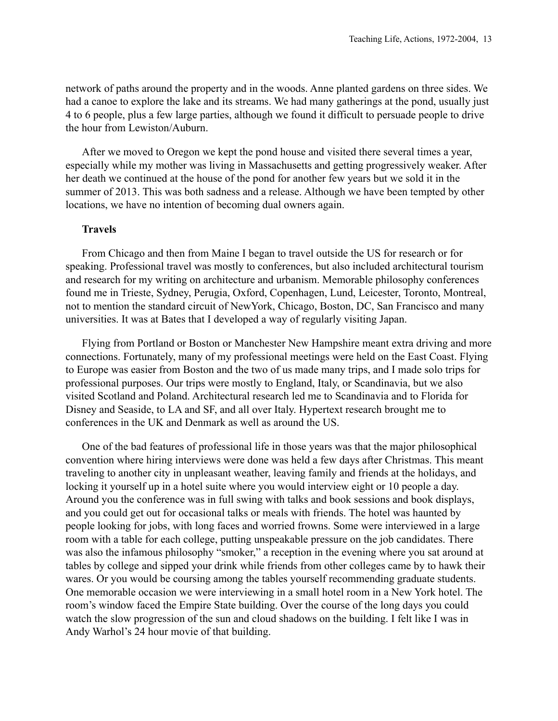network of paths around the property and in the woods. Anne planted gardens on three sides. We had a canoe to explore the lake and its streams. We had many gatherings at the pond, usually just 4 to 6 people, plus a few large parties, although we found it difficult to persuade people to drive the hour from Lewiston/Auburn.

After we moved to Oregon we kept the pond house and visited there several times a year, especially while my mother was living in Massachusetts and getting progressively weaker. After her death we continued at the house of the pond for another few years but we sold it in the summer of 2013. This was both sadness and a release. Although we have been tempted by other locations, we have no intention of becoming dual owners again.

### **Travels**

From Chicago and then from Maine I began to travel outside the US for research or for speaking. Professional travel was mostly to conferences, but also included architectural tourism and research for my writing on architecture and urbanism. Memorable philosophy conferences found me in Trieste, Sydney, Perugia, Oxford, Copenhagen, Lund, Leicester, Toronto, Montreal, not to mention the standard circuit of NewYork, Chicago, Boston, DC, San Francisco and many universities. It was at Bates that I developed a way of regularly visiting Japan.

Flying from Portland or Boston or Manchester New Hampshire meant extra driving and more connections. Fortunately, many of my professional meetings were held on the East Coast. Flying to Europe was easier from Boston and the two of us made many trips, and I made solo trips for professional purposes. Our trips were mostly to England, Italy, or Scandinavia, but we also visited Scotland and Poland. Architectural research led me to Scandinavia and to Florida for Disney and Seaside, to LA and SF, and all over Italy. Hypertext research brought me to conferences in the UK and Denmark as well as around the US.

One of the bad features of professional life in those years was that the major philosophical convention where hiring interviews were done was held a few days after Christmas. This meant traveling to another city in unpleasant weather, leaving family and friends at the holidays, and locking it yourself up in a hotel suite where you would interview eight or 10 people a day. Around you the conference was in full swing with talks and book sessions and book displays, and you could get out for occasional talks or meals with friends. The hotel was haunted by people looking for jobs, with long faces and worried frowns. Some were interviewed in a large room with a table for each college, putting unspeakable pressure on the job candidates. There was also the infamous philosophy "smoker," a reception in the evening where you sat around at tables by college and sipped your drink while friends from other colleges came by to hawk their wares. Or you would be coursing among the tables yourself recommending graduate students. One memorable occasion we were interviewing in a small hotel room in a New York hotel. The room's window faced the Empire State building. Over the course of the long days you could watch the slow progression of the sun and cloud shadows on the building. I felt like I was in Andy Warhol's 24 hour movie of that building.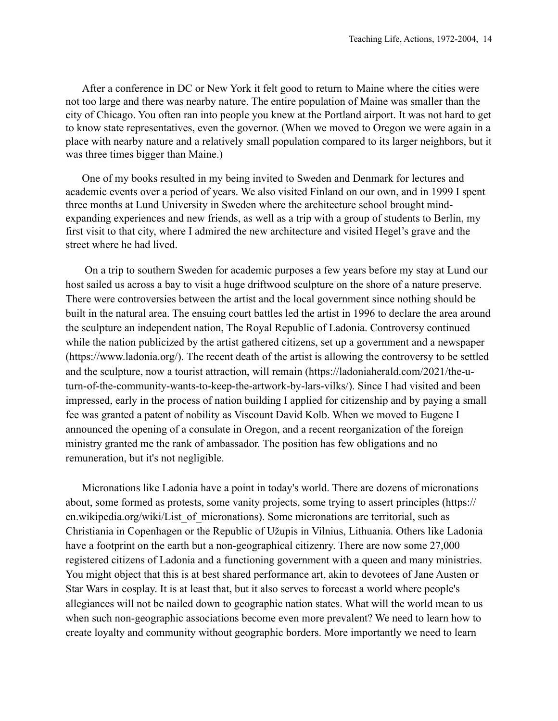After a conference in DC or New York it felt good to return to Maine where the cities were not too large and there was nearby nature. The entire population of Maine was smaller than the city of Chicago. You often ran into people you knew at the Portland airport. It was not hard to get to know state representatives, even the governor. (When we moved to Oregon we were again in a place with nearby nature and a relatively small population compared to its larger neighbors, but it was three times bigger than Maine.)

One of my books resulted in my being invited to Sweden and Denmark for lectures and academic events over a period of years. We also visited Finland on our own, and in 1999 I spent three months at Lund University in Sweden where the architecture school brought mindexpanding experiences and new friends, as well as a trip with a group of students to Berlin, my first visit to that city, where I admired the new architecture and visited Hegel's grave and the street where he had lived.

 On a trip to southern Sweden for academic purposes a few years before my stay at Lund our host sailed us across a bay to visit a huge driftwood sculpture on the shore of a nature preserve. There were controversies between the artist and the local government since nothing should be built in the natural area. The ensuing court battles led the artist in 1996 to declare the area around the sculpture an independent nation, The Royal Republic of Ladonia. Controversy continued while the nation publicized by the artist gathered citizens, set up a government and a newspaper (https://www.ladonia.org/). The recent death of the artist is allowing the controversy to be settled and the sculpture, now a tourist attraction, will remain (https://ladoniaherald.com/2021/the-uturn-of-the-community-wants-to-keep-the-artwork-by-lars-vilks/). Since I had visited and been impressed, early in the process of nation building I applied for citizenship and by paying a small fee was granted a patent of nobility as Viscount David Kolb. When we moved to Eugene I announced the opening of a consulate in Oregon, and a recent reorganization of the foreign ministry granted me the rank of ambassador. The position has few obligations and no remuneration, but it's not negligible.

Micronations like Ladonia have a point in today's world. There are dozens of micronations about, some formed as protests, some vanity projects, some trying to assert principles (https:// en.wikipedia.org/wiki/List of micronations). Some micronations are territorial, such as Christiania in Copenhagen or the Republic of Užupis in Vilnius, Lithuania. Others like Ladonia have a footprint on the earth but a non-geographical citizenry. There are now some 27,000 registered citizens of Ladonia and a functioning government with a queen and many ministries. You might object that this is at best shared performance art, akin to devotees of Jane Austen or Star Wars in cosplay. It is at least that, but it also serves to forecast a world where people's allegiances will not be nailed down to geographic nation states. What will the world mean to us when such non-geographic associations become even more prevalent? We need to learn how to create loyalty and community without geographic borders. More importantly we need to learn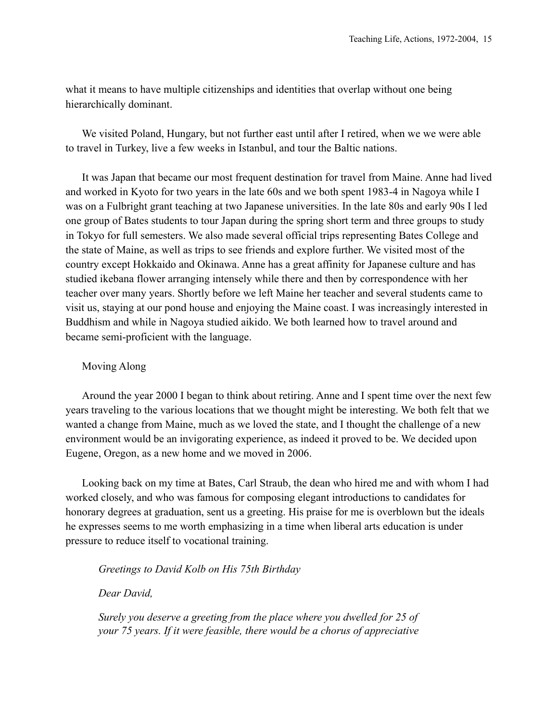what it means to have multiple citizenships and identities that overlap without one being hierarchically dominant.

We visited Poland, Hungary, but not further east until after I retired, when we we were able to travel in Turkey, live a few weeks in Istanbul, and tour the Baltic nations.

It was Japan that became our most frequent destination for travel from Maine. Anne had lived and worked in Kyoto for two years in the late 60s and we both spent 1983-4 in Nagoya while I was on a Fulbright grant teaching at two Japanese universities. In the late 80s and early 90s I led one group of Bates students to tour Japan during the spring short term and three groups to study in Tokyo for full semesters. We also made several official trips representing Bates College and the state of Maine, as well as trips to see friends and explore further. We visited most of the country except Hokkaido and Okinawa. Anne has a great affinity for Japanese culture and has studied ikebana flower arranging intensely while there and then by correspondence with her teacher over many years. Shortly before we left Maine her teacher and several students came to visit us, staying at our pond house and enjoying the Maine coast. I was increasingly interested in Buddhism and while in Nagoya studied aikido. We both learned how to travel around and became semi-proficient with the language.

# Moving Along

Around the year 2000 I began to think about retiring. Anne and I spent time over the next few years traveling to the various locations that we thought might be interesting. We both felt that we wanted a change from Maine, much as we loved the state, and I thought the challenge of a new environment would be an invigorating experience, as indeed it proved to be. We decided upon Eugene, Oregon, as a new home and we moved in 2006.

Looking back on my time at Bates, Carl Straub, the dean who hired me and with whom I had worked closely, and who was famous for composing elegant introductions to candidates for honorary degrees at graduation, sent us a greeting. His praise for me is overblown but the ideals he expresses seems to me worth emphasizing in a time when liberal arts education is under pressure to reduce itself to vocational training.

*Greetings to David Kolb on His 75th Birthday*

*Dear David,* 

*Surely you deserve a greeting from the place where you dwelled for 25 of your 75 years. If it were feasible, there would be a chorus of appreciative*